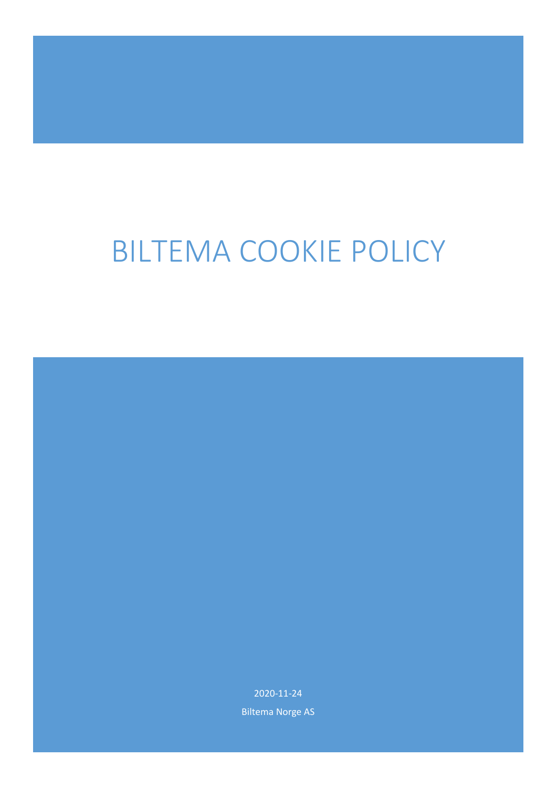# BILTEMA COOKIE POLICY

2020-11-24 Biltema Norge AS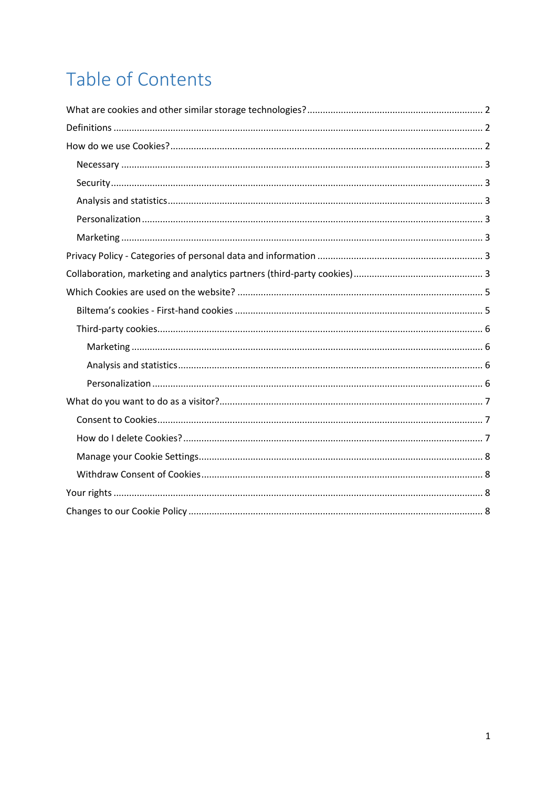## Table of Contents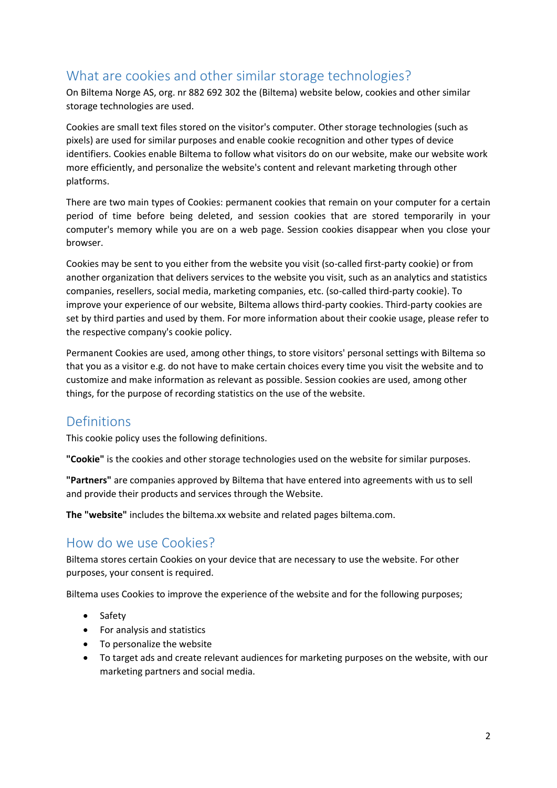## <span id="page-2-0"></span>What are cookies and other similar storage technologies?

On Biltema Norge AS, org. nr 882 692 302 the (Biltema) website below, cookies and other similar storage technologies are used.

Cookies are small text files stored on the visitor's computer. Other storage technologies (such as pixels) are used for similar purposes and enable cookie recognition and other types of device identifiers. Cookies enable Biltema to follow what visitors do on our website, make our website work more efficiently, and personalize the website's content and relevant marketing through other platforms.

There are two main types of Cookies: permanent cookies that remain on your computer for a certain period of time before being deleted, and session cookies that are stored temporarily in your computer's memory while you are on a web page. Session cookies disappear when you close your browser.

Cookies may be sent to you either from the website you visit (so-called first-party cookie) or from another organization that delivers services to the website you visit, such as an analytics and statistics companies, resellers, social media, marketing companies, etc. (so-called third-party cookie). To improve your experience of our website, Biltema allows third-party cookies. Third-party cookies are set by third parties and used by them. For more information about their cookie usage, please refer to the respective company's cookie policy.

Permanent Cookies are used, among other things, to store visitors' personal settings with Biltema so that you as a visitor e.g. do not have to make certain choices every time you visit the website and to customize and make information as relevant as possible. Session cookies are used, among other things, for the purpose of recording statistics on the use of the website.

## <span id="page-2-1"></span>Definitions

This cookie policy uses the following definitions.

**"Cookie"** is the cookies and other storage technologies used on the website for similar purposes.

**"Partners"** are companies approved by Biltema that have entered into agreements with us to sell and provide their products and services through the Website.

**The "website"** includes the biltema.xx website and related pages biltema.com.

## <span id="page-2-2"></span>How do we use Cookies?

Biltema stores certain Cookies on your device that are necessary to use the website. For other purposes, your consent is required.

Biltema uses Cookies to improve the experience of the website and for the following purposes;

- Safety
- For analysis and statistics
- To personalize the website
- To target ads and create relevant audiences for marketing purposes on the website, with our marketing partners and social media.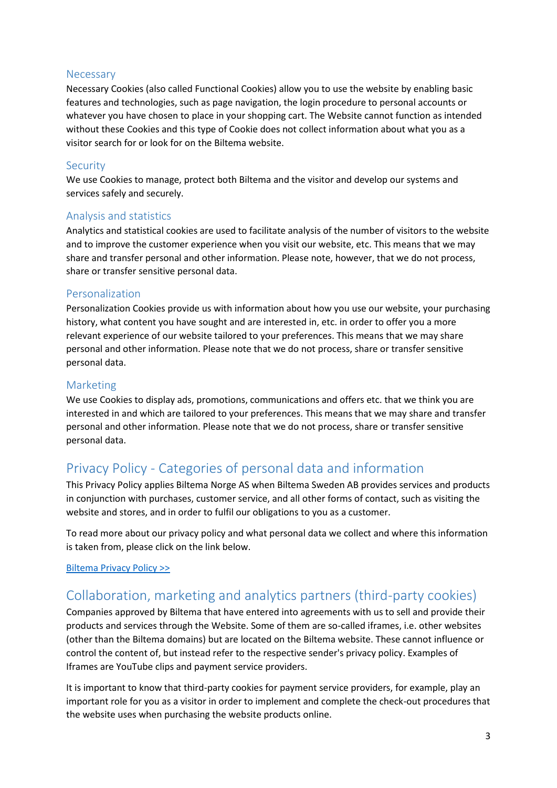#### <span id="page-3-0"></span>**Necessary**

Necessary Cookies (also called Functional Cookies) allow you to use the website by enabling basic features and technologies, such as page navigation, the login procedure to personal accounts or whatever you have chosen to place in your shopping cart. The Website cannot function as intended without these Cookies and this type of Cookie does not collect information about what you as a visitor search for or look for on the Biltema website.

#### <span id="page-3-1"></span>Security

We use Cookies to manage, protect both Biltema and the visitor and develop our systems and services safely and securely.

#### <span id="page-3-2"></span>Analysis and statistics

Analytics and statistical cookies are used to facilitate analysis of the number of visitors to the website and to improve the customer experience when you visit our website, etc. This means that we may share and transfer personal and other information. Please note, however, that we do not process, share or transfer sensitive personal data.

#### <span id="page-3-3"></span>Personalization

Personalization Cookies provide us with information about how you use our website, your purchasing history, what content you have sought and are interested in, etc. in order to offer you a more relevant experience of our website tailored to your preferences. This means that we may share personal and other information. Please note that we do not process, share or transfer sensitive personal data.

#### <span id="page-3-4"></span>Marketing

We use Cookies to display ads, promotions, communications and offers etc. that we think you are interested in and which are tailored to your preferences. This means that we may share and transfer personal and other information. Please note that we do not process, share or transfer sensitive personal data.

## <span id="page-3-5"></span>Privacy Policy - Categories of personal data and information

This Privacy Policy applies Biltema Norge AS when Biltema Sweden AB provides services and products in conjunction with purchases, customer service, and all other forms of contact, such as visiting the website and stores, and in order to fulfil our obligations to you as a customer.

To read more about our privacy policy and what personal data we collect and where this information is taken from, please click on the link below.

#### [Biltema Privacy Policy >>](https://www.biltema.se/kundservice/anvandarvillkor/integritetspolicy/)

## <span id="page-3-6"></span>Collaboration, marketing and analytics partners (third-party cookies)

Companies approved by Biltema that have entered into agreements with us to sell and provide their products and services through the Website. Some of them are so-called iframes, i.e. other websites (other than the Biltema domains) but are located on the Biltema website. These cannot influence or control the content of, but instead refer to the respective sender's privacy policy. Examples of Iframes are YouTube clips and payment service providers.

It is important to know that third-party cookies for payment service providers, for example, play an important role for you as a visitor in order to implement and complete the check-out procedures that the website uses when purchasing the website products online.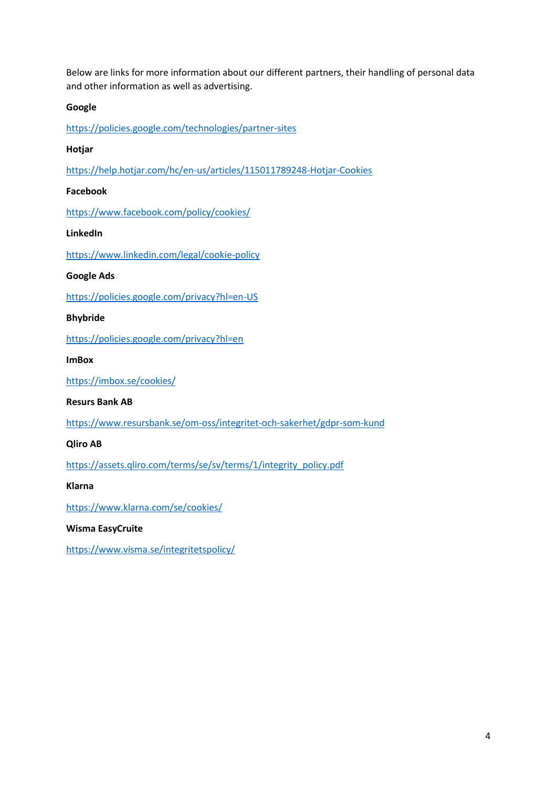Below are links for more information about our different partners, their handling of personal data and other information as well as advertising.

#### **Google**

<https://policies.google.com/technologies/partner-sites>

#### **Hotjar**

<https://help.hotjar.com/hc/en-us/articles/115011789248-Hotjar-Cookies>

#### **Facebook**

<https://www.facebook.com/policy/cookies/>

#### **LinkedIn**

<https://www.linkedin.com/legal/cookie-policy>

#### **Google Ads**

<https://policies.google.com/privacy?hl=en-US>

#### **Bhybride**

<https://policies.google.com/privacy?hl=en>

#### **ImBox**

<https://imbox.se/cookies/>

#### **Resurs Bank AB**

<https://www.resursbank.se/om-oss/integritet-och-sakerhet/gdpr-som-kund>

#### **Qliro AB**

[https://assets.qliro.com/terms/se/sv/terms/1/integrity\\_policy.pdf](https://assets.qliro.com/terms/se/sv/terms/1/integrity_policy.pdf)

#### **Klarna**

<https://www.klarna.com/se/cookies/>

#### **Wisma EasyCruite**

<https://www.visma.se/integritetspolicy/>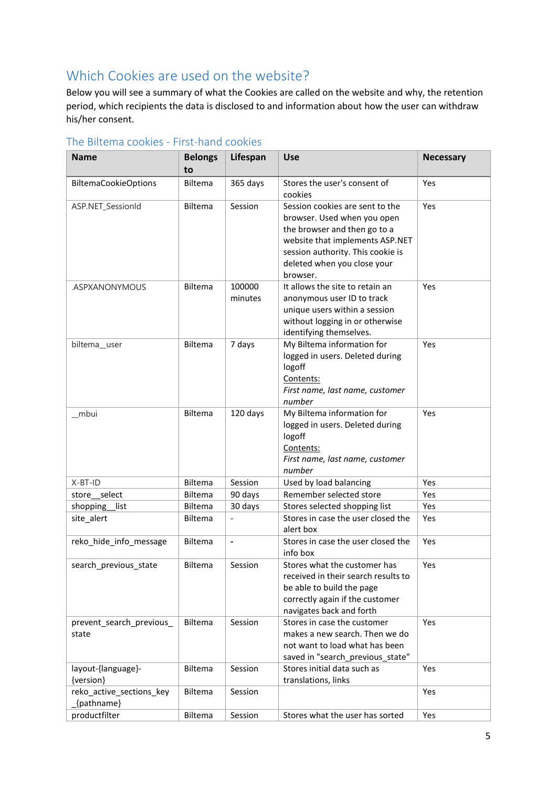## <span id="page-5-0"></span>Which Cookies are used on the website?

Below you will see a summary of what the Cookies are called on the website and why, the retention period, which recipients the data is disclosed to and information about how the user can withdraw his/her consent.

| <b>Name</b>                            | <b>Belongs</b><br>to | Lifespan          | <b>Use</b>                                                                                                                                                                                                        | <b>Necessary</b> |
|----------------------------------------|----------------------|-------------------|-------------------------------------------------------------------------------------------------------------------------------------------------------------------------------------------------------------------|------------------|
| <b>BiltemaCookieOptions</b>            | Biltema              | 365 days          | Stores the user's consent of<br>cookies                                                                                                                                                                           | Yes              |
| ASP.NET_SessionId                      | Biltema              | Session           | Session cookies are sent to the<br>browser. Used when you open<br>the browser and then go to a<br>website that implements ASP.NET<br>session authority. This cookie is<br>deleted when you close your<br>browser. | Yes              |
| .ASPXANONYMOUS                         | Biltema              | 100000<br>minutes | It allows the site to retain an<br>anonymous user ID to track<br>unique users within a session<br>without logging in or otherwise<br>identifying themselves.                                                      | Yes              |
| biltema_user                           | Biltema              | 7 days            | My Biltema information for<br>logged in users. Deleted during<br>logoff<br>Contents:<br>First name, last name, customer<br>number                                                                                 | Yes              |
| mbui                                   | Biltema              | 120 days          | My Biltema information for<br>logged in users. Deleted during<br>logoff<br>Contents:<br>First name, last name, customer<br>number                                                                                 | Yes              |
| X-BT-ID                                | Biltema              | Session           | Used by load balancing                                                                                                                                                                                            | Yes              |
| store_select                           | Biltema              | 90 days           | Remember selected store                                                                                                                                                                                           | Yes              |
| shopping_<br>list                      | Biltema              | 30 days           | Stores selected shopping list                                                                                                                                                                                     | Yes              |
| site_alert                             | Biltema              |                   | Stores in case the user closed the<br>alert box                                                                                                                                                                   | Yes              |
| reko hide info message                 | Biltema              | $\blacksquare$    | Stores in case the user closed the<br>info box                                                                                                                                                                    | Yes              |
| search_previous_state                  | Biltema              | Session           | Stores what the customer has<br>received in their search results to<br>be able to build the page<br>correctly again if the customer<br>navigates back and forth                                                   | Yes              |
| prevent search previous<br>state       | Biltema              | Session           | Stores in case the customer<br>makes a new search. Then we do<br>not want to load what has been<br>saved in "search_previous_state"                                                                               | Yes              |
| layout-{language}-<br>{version}        | Biltema              | Session           | Stores initial data such as<br>translations, links                                                                                                                                                                | Yes              |
| reko_active_sections_key<br>{pathname} | Biltema              | Session           |                                                                                                                                                                                                                   | Yes              |
| productfilter                          | Biltema              | Session           | Stores what the user has sorted                                                                                                                                                                                   | Yes              |

#### <span id="page-5-1"></span>The Biltema cookies - First-hand cookies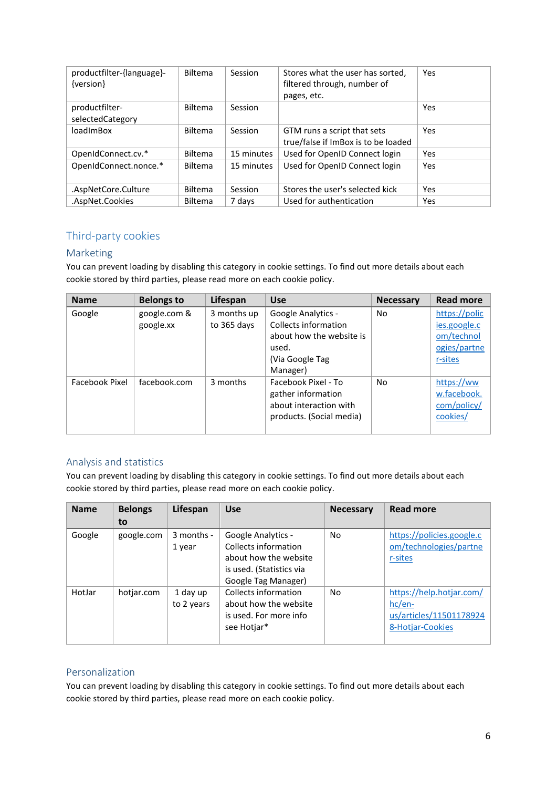| productfilter-{language}-<br>{version} | <b>Biltema</b> | Session    | Stores what the user has sorted,<br>filtered through, number of<br>pages, etc. | Yes |
|----------------------------------------|----------------|------------|--------------------------------------------------------------------------------|-----|
| productfilter-<br>selectedCategory     | <b>Biltema</b> | Session    |                                                                                | Yes |
| <b>loadImBox</b>                       | <b>Biltema</b> | Session    | GTM runs a script that sets<br>true/false if ImBox is to be loaded             | Yes |
| OpenIdConnect.cv.*                     | <b>Biltema</b> | 15 minutes | Used for OpenID Connect login                                                  | Yes |
| OpenIdConnect.nonce.*                  | <b>Biltema</b> | 15 minutes | Used for OpenID Connect login                                                  | Yes |
| .AspNetCore.Culture                    | <b>Biltema</b> | Session    | Stores the user's selected kick                                                | Yes |
| .AspNet.Cookies                        | <b>Biltema</b> | 7 days     | Used for authentication                                                        | Yes |

#### <span id="page-6-0"></span>Third-party cookies

#### <span id="page-6-1"></span>Marketing

You can prevent loading by disabling this category in cookie settings. To find out more details about each cookie stored by third parties, please read more on each cookie policy.

| <b>Name</b>    | <b>Belongs to</b> | Lifespan    | <b>Use</b>               | <b>Necessary</b> | <b>Read more</b> |
|----------------|-------------------|-------------|--------------------------|------------------|------------------|
| Google         | google.com &      | 3 months up | Google Analytics -       | <b>No</b>        | https://polic    |
|                | google.xx         | to 365 days | Collects information     |                  | jes.google.c     |
|                |                   |             | about how the website is |                  | om/technol       |
|                |                   |             | used.                    |                  | ogies/partne     |
|                |                   |             | (Via Google Tag          |                  | r-sites          |
|                |                   |             | Manager)                 |                  |                  |
| Facebook Pixel | facebook.com      | 3 months    | Facebook Pixel - To      | <b>No</b>        | https://ww       |
|                |                   |             | gather information       |                  | w.facebook.      |
|                |                   |             | about interaction with   |                  | com/policy/      |
|                |                   |             | products. (Social media) |                  | cookies/         |
|                |                   |             |                          |                  |                  |

#### <span id="page-6-2"></span>Analysis and statistics

You can prevent loading by disabling this category in cookie settings. To find out more details about each cookie stored by third parties, please read more on each cookie policy.

| <b>Name</b> | <b>Belongs</b> | Lifespan               | <b>Use</b>                                                                                                                    | <b>Necessary</b> | <b>Read more</b>                                                                    |
|-------------|----------------|------------------------|-------------------------------------------------------------------------------------------------------------------------------|------------------|-------------------------------------------------------------------------------------|
|             | to             |                        |                                                                                                                               |                  |                                                                                     |
| Google      | google.com     | 3 months -<br>1 year   | <b>Google Analytics -</b><br>Collects information<br>about how the website<br>is used. (Statistics via<br>Google Tag Manager) | No               | https://policies.google.c<br>om/technologies/partne<br>r-sites                      |
| HotJar      | hotjar.com     | 1 day up<br>to 2 years | Collects information<br>about how the website<br>is used. For more info<br>see Hotjar*                                        | No               | https://help.hotjar.com/<br>$hc/en-$<br>us/articles/11501178924<br>8-Hotjar-Cookies |

#### <span id="page-6-3"></span>Personalization

You can prevent loading by disabling this category in cookie settings. To find out more details about each cookie stored by third parties, please read more on each cookie policy.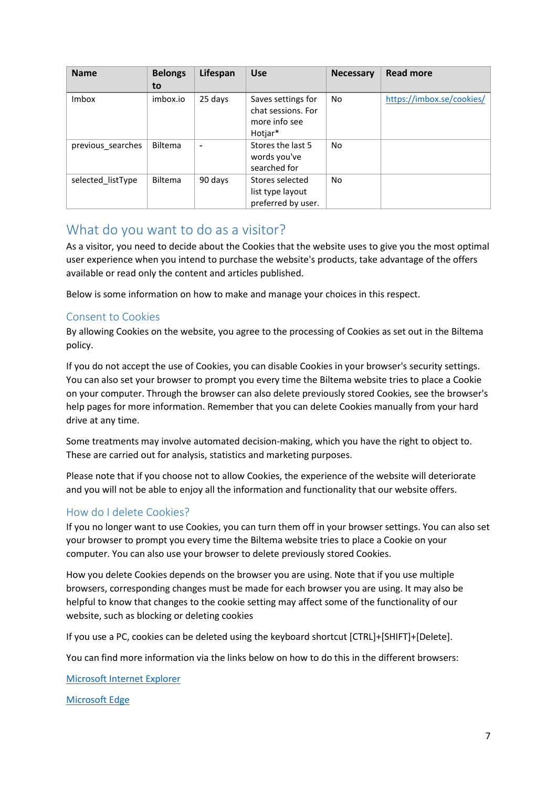| <b>Name</b>       | <b>Belongs</b><br>to | Lifespan | <b>Use</b>                                                | <b>Necessary</b> | <b>Read more</b>          |
|-------------------|----------------------|----------|-----------------------------------------------------------|------------------|---------------------------|
| Imbox             | imbox.io             | 25 days  | Saves settings for                                        | No               | https://imbox.se/cookies/ |
|                   |                      |          | chat sessions. For<br>more info see<br>Hotjar*            |                  |                           |
| previous searches | <b>Biltema</b>       |          | Stores the last 5<br>words you've<br>searched for         | No.              |                           |
| selected listType | Biltema              | 90 days  | Stores selected<br>list type layout<br>preferred by user. | No.              |                           |

## <span id="page-7-0"></span>What do you want to do as a visitor?

As a visitor, you need to decide about the Cookies that the website uses to give you the most optimal user experience when you intend to purchase the website's products, take advantage of the offers available or read only the content and articles published.

Below is some information on how to make and manage your choices in this respect.

#### <span id="page-7-1"></span>Consent to Cookies

By allowing Cookies on the website, you agree to the processing of Cookies as set out in the Biltema policy.

If you do not accept the use of Cookies, you can disable Cookies in your browser's security settings. You can also set your browser to prompt you every time the Biltema website tries to place a Cookie on your computer. Through the browser can also delete previously stored Cookies, see the browser's help pages for more information. Remember that you can delete Cookies manually from your hard drive at any time.

Some treatments may involve automated decision-making, which you have the right to object to. These are carried out for analysis, statistics and marketing purposes.

Please note that if you choose not to allow Cookies, the experience of the website will deteriorate and you will not be able to enjoy all the information and functionality that our website offers.

#### <span id="page-7-2"></span>How do I delete Cookies?

If you no longer want to use Cookies, you can turn them off in your browser settings. You can also set your browser to prompt you every time the Biltema website tries to place a Cookie on your computer. You can also use your browser to delete previously stored Cookies.

How you delete Cookies depends on the browser you are using. Note that if you use multiple browsers, corresponding changes must be made for each browser you are using. It may also be helpful to know that changes to the cookie setting may affect some of the functionality of our website, such as blocking or deleting cookies

If you use a PC, cookies can be deleted using the keyboard shortcut [CTRL]+[SHIFT]+[Delete].

You can find more information via the links below on how to do this in the different browsers:

#### [Microsoft Internet Explorer](https://support.microsoft.com/en-us/help/17442/windows-internet-explorer-delete-manage-cookies#ie=ie-11)

[Microsoft Edge](https://support.microsoft.com/en-us/help/4468242/microsoft-edge-browsing-data-and-privacy)